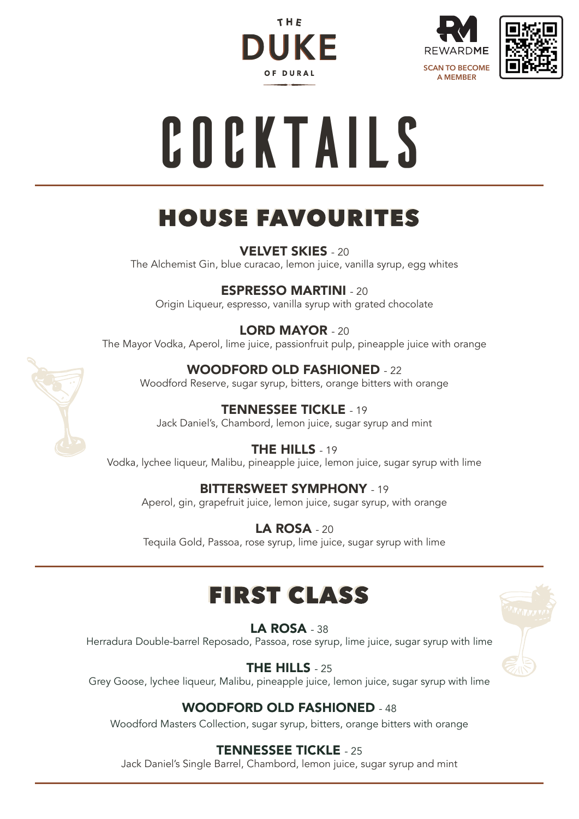





# **Cocktails**

# **HOUSE FAVOURITES**

VELVET SKIES - 20 The Alchemist Gin, blue curacao, lemon juice, vanilla syrup, egg whites

ESPRESSO MARTINI - 20

Origin Liqueur, espresso, vanilla syrup with grated chocolate

### LORD MAYOR - 20

The Mayor Vodka, Aperol, lime juice, passionfruit pulp, pineapple juice with orange

### WOODFORD OLD FASHIONED - 22

Woodford Reserve, sugar syrup, bitters, orange bitters with orange

### TENNESSEE TICKLE - 19

Jack Daniel's, Chambord, lemon juice, sugar syrup and mint

#### THE HILLS - 19

Vodka, lychee liqueur, Malibu, pineapple juice, lemon juice, sugar syrup with lime

### BITTERSWEET SYMPHONY - 19

Aperol, gin, grapefruit juice, lemon juice, sugar syrup, with orange

LA ROSA - 20 Tequila Gold, Passoa, rose syrup, lime juice, sugar syrup with lime

# **FIRST CLASS**

#### **LA ROSA - 38**

Herradura Double-barrel Reposado, Passoa, rose syrup, lime juice, sugar syrup with lime

THE HILLS - 25

Grey Goose, lychee liqueur, Malibu, pineapple juice, lemon juice, sugar syrup with lime

### WOODFORD OLD FASHIONED - 48

Woodford Masters Collection, sugar syrup, bitters, orange bitters with orange

### TENNESSEE TICKLE - 25

Jack Daniel's Single Barrel, Chambord, lemon juice, sugar syrup and mint